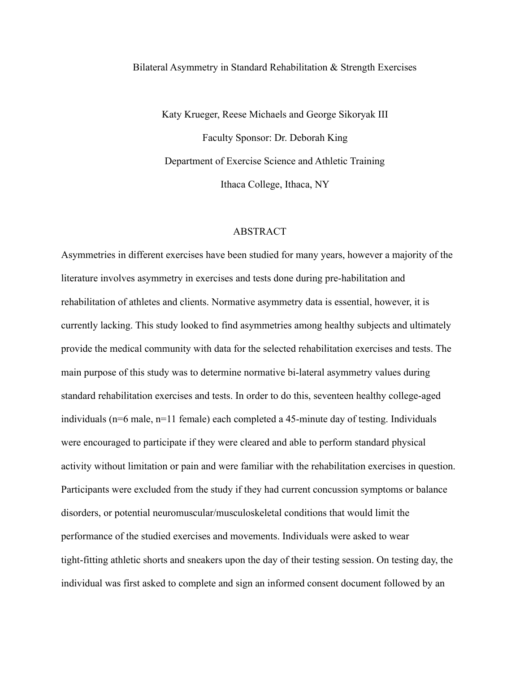## Bilateral Asymmetry in Standard Rehabilitation & Strength Exercises

Katy Krueger, Reese Michaels and George Sikoryak III Faculty Sponsor: Dr. Deborah King Department of Exercise Science and Athletic Training Ithaca College, Ithaca, NY

## ABSTRACT

Asymmetries in different exercises have been studied for many years, however a majority of the literature involves asymmetry in exercises and tests done during pre-habilitation and rehabilitation of athletes and clients. Normative asymmetry data is essential, however, it is currently lacking. This study looked to find asymmetries among healthy subjects and ultimately provide the medical community with data for the selected rehabilitation exercises and tests. The main purpose of this study was to determine normative bi-lateral asymmetry values during standard rehabilitation exercises and tests. In order to do this, seventeen healthy college-aged individuals ( $n=6$  male,  $n=11$  female) each completed a 45-minute day of testing. Individuals were encouraged to participate if they were cleared and able to perform standard physical activity without limitation or pain and were familiar with the rehabilitation exercises in question. Participants were excluded from the study if they had current concussion symptoms or balance disorders, or potential neuromuscular/musculoskeletal conditions that would limit the performance of the studied exercises and movements. Individuals were asked to wear tight-fitting athletic shorts and sneakers upon the day of their testing session. On testing day, the individual was first asked to complete and sign an informed consent document followed by an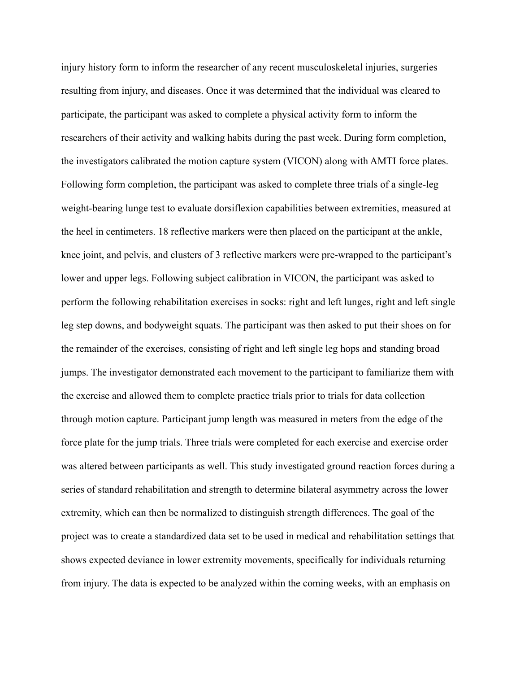injury history form to inform the researcher of any recent musculoskeletal injuries, surgeries resulting from injury, and diseases. Once it was determined that the individual was cleared to participate, the participant was asked to complete a physical activity form to inform the researchers of their activity and walking habits during the past week. During form completion, the investigators calibrated the motion capture system (VICON) along with AMTI force plates. Following form completion, the participant was asked to complete three trials of a single-leg weight-bearing lunge test to evaluate dorsiflexion capabilities between extremities, measured at the heel in centimeters. 18 reflective markers were then placed on the participant at the ankle, knee joint, and pelvis, and clusters of 3 reflective markers were pre-wrapped to the participant's lower and upper legs. Following subject calibration in VICON, the participant was asked to perform the following rehabilitation exercises in socks: right and left lunges, right and left single leg step downs, and bodyweight squats. The participant was then asked to put their shoes on for the remainder of the exercises, consisting of right and left single leg hops and standing broad jumps. The investigator demonstrated each movement to the participant to familiarize them with the exercise and allowed them to complete practice trials prior to trials for data collection through motion capture. Participant jump length was measured in meters from the edge of the force plate for the jump trials. Three trials were completed for each exercise and exercise order was altered between participants as well. This study investigated ground reaction forces during a series of standard rehabilitation and strength to determine bilateral asymmetry across the lower extremity, which can then be normalized to distinguish strength differences. The goal of the project was to create a standardized data set to be used in medical and rehabilitation settings that shows expected deviance in lower extremity movements, specifically for individuals returning from injury. The data is expected to be analyzed within the coming weeks, with an emphasis on